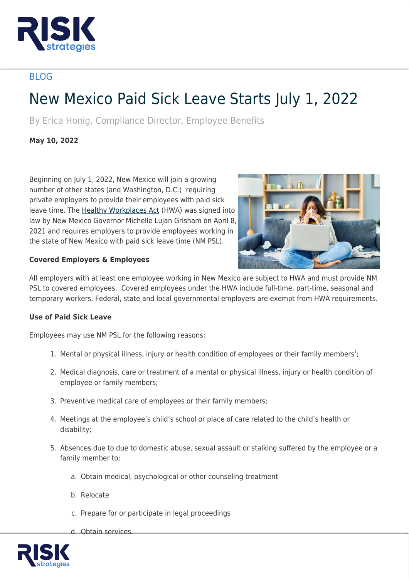

# BLOG

# New Mexico Paid Sick Leave Starts July 1, 2022

By Erica Honig, Compliance Director, Employee Benefits

**May 10, 2022**

Beginning on July 1, 2022, New Mexico will join a growing number of other states (and Washington, D.C.) requiring private employers to provide their employees with paid sick leave time. The [Healthy Workplaces Act](https://www.nmlegis.gov/Sessions/21%20Regular/final/HB0020.pdf) (HWA) was signed into law by New Mexico Governor Michelle Lujan Grisham on April 8, 2021 and requires employers to provide employees working in the state of New Mexico with paid sick leave time (NM PSL).



# **Covered Employers & Employees**

All employers with at least one employee working in New Mexico are subject to HWA and must provide NM PSL to covered employees. Covered employees under the HWA include full-time, part-time, seasonal and temporary workers. Federal, state and local governmental employers are exempt from HWA requirements.

# **Use of Paid Sick Leave**

Employees may use NM PSL for the following reasons:

- 1. Mental or physical illness, injury or health condition of employees or their family members<sup>1</sup>;
- 2. Medical diagnosis, care or treatment of a mental or physical illness, injury or health condition of employee or family members;
- 3. Preventive medical care of employees or their family members;
- 4. Meetings at the employee's child's school or place of care related to the child's health or disability;
- 5. Absences due to due to domestic abuse, sexual assault or stalking suffered by the employee or a family member to:
	- a. Obtain medical, psychological or other counseling treatment
	- b. Relocate
	- c. Prepare for or participate in legal proceedings
	- d. Obtain services.

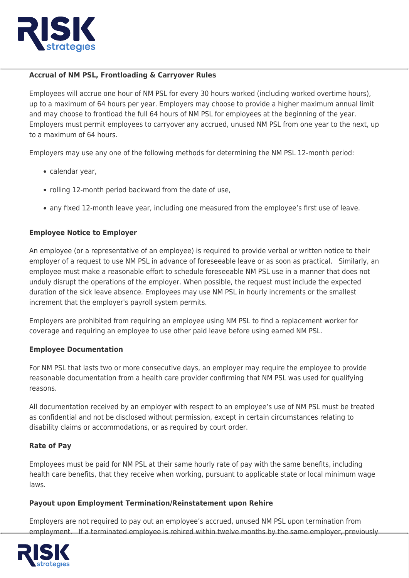

# **Accrual of NM PSL, Frontloading & Carryover Rules**

Employees will accrue one hour of NM PSL for every 30 hours worked (including worked overtime hours), up to a maximum of 64 hours per year. Employers may choose to provide a higher maximum annual limit and may choose to frontload the full 64 hours of NM PSL for employees at the beginning of the year. Employers must permit employees to carryover any accrued, unused NM PSL from one year to the next, up to a maximum of 64 hours.

Employers may use any one of the following methods for determining the NM PSL 12-month period:

- calendar year,
- rolling 12-month period backward from the date of use,
- any fixed 12-month leave year, including one measured from the employee's first use of leave.

# **Employee Notice to Employer**

An employee (or a representative of an employee) is required to provide verbal or written notice to their employer of a request to use NM PSL in advance of foreseeable leave or as soon as practical. Similarly, an employee must make a reasonable effort to schedule foreseeable NM PSL use in a manner that does not unduly disrupt the operations of the employer. When possible, the request must include the expected duration of the sick leave absence. Employees may use NM PSL in hourly increments or the smallest increment that the employer's payroll system permits.

Employers are prohibited from requiring an employee using NM PSL to find a replacement worker for coverage and requiring an employee to use other paid leave before using earned NM PSL.

#### **Employee Documentation**

For NM PSL that lasts two or more consecutive days, an employer may require the employee to provide reasonable documentation from a health care provider confirming that NM PSL was used for qualifying reasons.

All documentation received by an employer with respect to an employee's use of NM PSL must be treated as confidential and not be disclosed without permission, except in certain circumstances relating to disability claims or accommodations, or as required by court order.

#### **Rate of Pay**

Employees must be paid for NM PSL at their same hourly rate of pay with the same benefits, including health care benefits, that they receive when working, pursuant to applicable state or local minimum wage laws.

#### **Payout upon Employment Termination/Reinstatement upon Rehire**

Employers are not required to pay out an employee's accrued, unused NM PSL upon termination from employment. If a terminated employee is rehired within twelve months by the same employer, previously

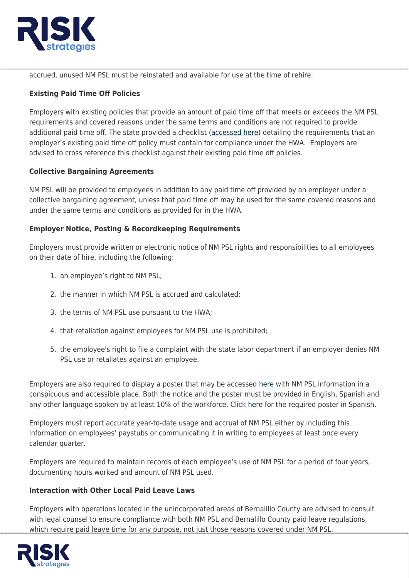

accrued, unused NM PSL must be reinstated and available for use at the time of rehire.

# **Existing Paid Time Off Policies**

Employers with existing policies that provide an amount of paid time off that meets or exceeds the NM PSL requirements and covered reasons under the same terms and conditions are not required to provide additional paid time off. The state provided a checklist ([accessed here\)](https://www.dws.state.nm.us/Portals/0/DM/LaborRelations/HWA_Policy_Compliance_Checklist.pdf?ver=2022-04-25-100759-297) detailing the requirements that an employer's existing paid time off policy must contain for compliance under the HWA. Employers are advised to cross reference this checklist against their existing paid time off policies.

# **Collective Bargaining Agreements**

NM PSL will be provided to employees in addition to any paid time off provided by an employer under a collective bargaining agreement, unless that paid time off may be used for the same covered reasons and under the same terms and conditions as provided for in the HWA.

# **Employer Notice, Posting & Recordkeeping Requirements**

Employers must provide written or electronic notice of NM PSL rights and responsibilities to all employees on their date of hire, including the following:

- 1. an employee's right to NM PSL;
- 2. the manner in which NM PSL is accrued and calculated;
- 3. the terms of NM PSL use pursuant to the HWA;
- 4. that retaliation against employees for NM PSL use is prohibited;
- 5. the employee's right to file a complaint with the state labor department if an employer denies NM PSL use or retaliates against an employee.

Employers are also required to display a poster that may be accessed [here](https://www.dws.state.nm.us/Portals/0/DM/LaborRelations/Paid_Sick_Leave_poster_11x17_size.pdf?ver=2022-03-29-000531-210) with NM PSL information in a conspicuous and accessible place. Both the notice and the poster must be provided in English, Spanish and any other language spoken by at least 10% of the workforce. Click [here](https://www.dws.state.nm.us/Portals/0/DM/LaborRelations/Paid_Sick_Leave_poster_Spanish-11x17_size.pdf?ver=2022-04-06-163214-877) for the required poster in Spanish.

Employers must report accurate year-to-date usage and accrual of NM PSL either by including this information on employees' paystubs or communicating it in writing to employees at least once every calendar quarter.

Employers are required to maintain records of each employee's use of NM PSL for a period of four years, documenting hours worked and amount of NM PSL used.

#### **Interaction with Other Local Paid Leave Laws**

Employers with operations located in the unincorporated areas of Bernalillo County are advised to consult with legal counsel to ensure compliance with both NM PSL and Bernalillo County paid leave regulations, which require paid leave time for any purpose, not just those reasons covered under NM PSL.

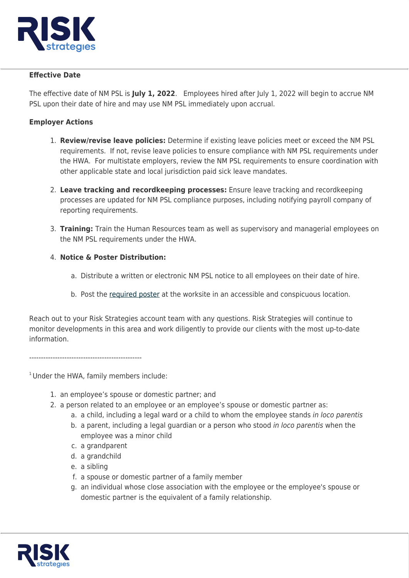

#### **Effective Date**

The effective date of NM PSL is **July 1, 2022**. Employees hired after July 1, 2022 will begin to accrue NM PSL upon their date of hire and may use NM PSL immediately upon accrual.

# **Employer Actions**

- 1. **Review/revise leave policies:** Determine if existing leave policies meet or exceed the NM PSL requirements. If not, revise leave policies to ensure compliance with NM PSL requirements under the HWA. For multistate employers, review the NM PSL requirements to ensure coordination with other applicable state and local jurisdiction paid sick leave mandates.
- 2. **Leave tracking and recordkeeping processes:** Ensure leave tracking and recordkeeping processes are updated for NM PSL compliance purposes, including notifying payroll company of reporting requirements.
- 3. **Training:** Train the Human Resources team as well as supervisory and managerial employees on the NM PSL requirements under the HWA.
- 4. **Notice & Poster Distribution:**
	- a. Distribute a written or electronic NM PSL notice to all employees on their date of hire.
	- b. Post the [required poster](https://www.dws.state.nm.us/Portals/0/DM/LaborRelations/Paid_Sick_Leave_poster_11x17_size.pdf?ver=2022-03-29-000531-210) at the worksite in an accessible and conspicuous location.

Reach out to your Risk Strategies account team with any questions. Risk Strategies will continue to monitor developments in this area and work diligently to provide our clients with the most up-to-date information.

------------------------------------------------

<sup>1</sup> Under the HWA, family members include:

- 1. an employee's spouse or domestic partner; and
- 2. a person related to an employee or an employee's spouse or domestic partner as:
	- a. a child, including a legal ward or a child to whom the employee stands in loco parentis
	- b. a parent, including a legal guardian or a person who stood in loco parentis when the employee was a minor child
	- c. a grandparent
	- d. a grandchild
	- e. a sibling
	- f. a spouse or domestic partner of a family member
	- g. an individual whose close association with the employee or the employee's spouse or domestic partner is the equivalent of a family relationship.